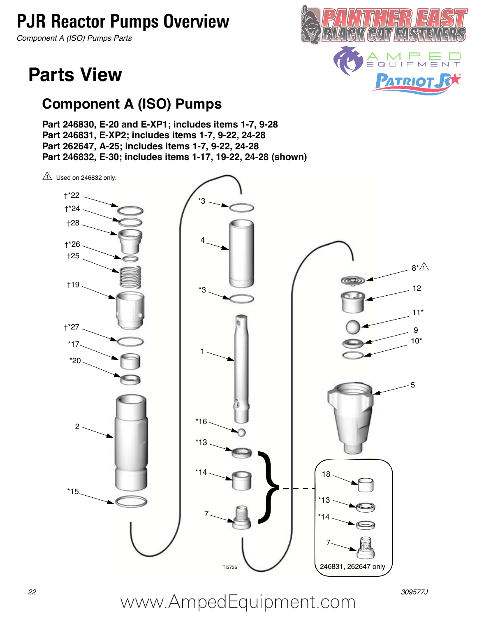### **PJR Reactor Pumps Overview**

*Component A (ISO) Pumps Parts*

### **Parts View**

### **Component A (ISO) Pumps**

**Part 246830, E-20 and E-XP1; includes items 1-7, 9-28 Part 246831, E-XP2; includes items 1-7, 9-22, 24-28 Part 262647, A-25; includes items 1-7, 9-22, 24-28 Part 246832, E-30; includes items 1-17, 19-22, 24-28 (shown)**



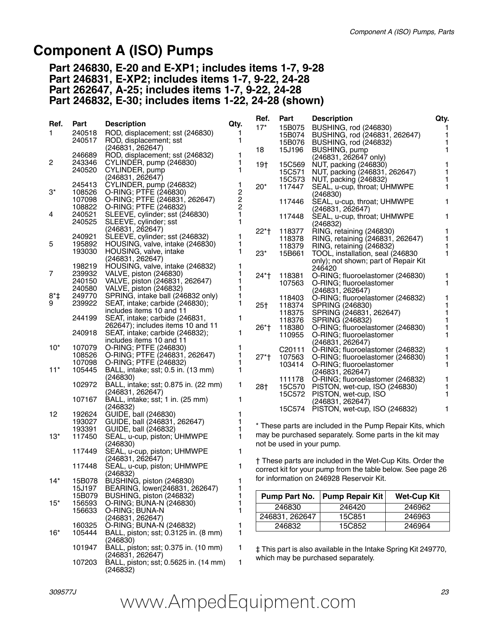#### **Component A (ISO) Pumps**

**Part 246830, E-20 and E-XP1; includes items 1-7, 9-28 Part 246831, E-XP2; includes items 1-7, 9-22, 24-28 Part 262647, A-25; includes items 1-7, 9-22, 24-28 Part 246832, E-30; includes items 1-22, 24-28 (shown)**

|        |        |                                                                     |                                              | Ref.            | Part                      | <b>Description</b>                                                        | Qty.               |              |
|--------|--------|---------------------------------------------------------------------|----------------------------------------------|-----------------|---------------------------|---------------------------------------------------------------------------|--------------------|--------------|
| Ref.   | Part   | <b>Description</b>                                                  | Qty.                                         | $17*$           |                           | 15B075 BUSHING, rod (246830)                                              |                    |              |
| 1.     | 240518 | ROD, displacement; sst (246830)                                     | 1<br>1                                       |                 | 15B074                    | BUSHING, rod (246831, 262647)                                             |                    | $\mathbf{1}$ |
|        | 240517 | ROD, displacement; sst<br>(246831, 262647)                          |                                              |                 | 15B076                    | BUSHING, rod (246832)                                                     |                    | 1            |
|        | 246689 | ROD, displacement; sst (246832)                                     | 1                                            | 18              | 15J196                    | BUSHING, pump                                                             |                    | $\mathbf{1}$ |
| 2      | 243346 | CYLINDER, pump (246830)                                             | 1                                            | 19†             | 15C569                    | (246831, 262647 only)<br>NUT, packing (246830)                            |                    | 1            |
|        | 240520 | CYLINDER, pump                                                      | 1                                            |                 | 15C571                    | NUT, packing (246831, 262647)                                             |                    | 1            |
|        |        | (246831, 262647)                                                    |                                              |                 | 15C573                    | NUT, packing (246832)                                                     |                    |              |
|        | 245413 | CYLINDER, pump (246832)                                             | 1                                            | $20*$           | 117447                    | SEAL, u-cup, throat; UHMWPE                                               |                    | 1            |
| $3^*$  | 108526 | O-RING; PTFE (246830)                                               | $\begin{array}{c}\n2 \\ 2 \\ 2\n\end{array}$ |                 |                           | (246830)                                                                  |                    |              |
|        | 107098 | O-RING; PTFE (246831, 262647)                                       |                                              |                 | 117446                    | SEAL, u-cup, throat; UHMWPE                                               |                    | 1            |
|        |        | 108822 O-RING; PTFE (246832)                                        |                                              |                 |                           | (246831, 262647)                                                          |                    |              |
| 4      | 240521 | SLEEVE, cylinder; sst (246830)                                      | $\mathbf{1}$                                 |                 | 117448                    | SEAL, u-cup, throat; UHMWPE                                               |                    | 1            |
|        | 240525 | SLEEVE, cylinder; sst                                               | $\mathbf{1}$                                 |                 |                           | (246832)                                                                  |                    |              |
|        | 240921 | (246831, 262647)<br>SLEEVE, cylinder; sst (246832)                  | 1                                            | $22*$ †         | 118377                    | RING, retaining (246830)                                                  |                    | 1            |
| 5      | 195892 | HOUSING, valve, intake (246830)                                     | 1                                            |                 | 118378                    | RING, retaining (246831, 262647)                                          |                    | 1            |
|        | 193030 | HOUSING, valve, intake                                              | 1                                            | $23*$           | 118379<br>15B661          | RING, retaining (246832)                                                  |                    | 1<br>1       |
|        |        | (246831, 262647)                                                    |                                              |                 |                           | TOOL, installation, seal (246830)<br>only); not shown; part of Repair Kit |                    |              |
|        | 198219 | HOUSING, valve, intake (246832)                                     | 1                                            |                 |                           | 246420                                                                    |                    |              |
| 7      | 239932 | VALVE, piston (246830)                                              | 1                                            | 24*†            | 118381                    | O-RING; fluoroelastomer (246830)                                          |                    | 1            |
|        | 240150 | VALVE, piston (246831, 262647)                                      | 1                                            |                 | 107563                    | O-RING; fluoroelastomer                                                   |                    | 1            |
|        | 240580 | VALVE, piston (246832)                                              | 1                                            |                 |                           | (246831, 262647)                                                          |                    |              |
| $8*$   | 249770 | SPRING, intake ball (246832 only)                                   | 1                                            |                 | 118403                    | O-RING; fluoroelastomer (246832)                                          |                    | 1            |
| 9      | 239922 | SEAT, intake; carbide (246830);                                     | 1                                            | 25 <sub>†</sub> | 118374                    | SPRING (246830)                                                           | 1                  |              |
|        |        | includes items 10 and 11                                            |                                              |                 | 118375                    | SPRING (246831, 262647)                                                   |                    | 1            |
|        | 244199 | SEAT, intake; carbide (246831,<br>262647); includes items 10 and 11 | 1                                            |                 | 118376                    | SPRING (246832)                                                           |                    | 1            |
|        | 240918 | SEAT, intake; carbide (246832);                                     | 1                                            | 26*†            | 118380                    | O-RING; fluoroelastomer (246830)                                          | 1                  |              |
|        |        | includes items 10 and 11                                            |                                              |                 | 110955                    | O-RING; fluoroelastomer                                                   |                    | 1            |
| $10^*$ | 107079 | O-RING; PTFE (246830)                                               | 1                                            |                 | C20111                    | (246831, 262647)<br>O-RING; fluoroelastomer (246832)                      |                    | 1            |
|        | 108526 | O-RING; PTFE (246831, 262647)                                       | 1                                            | $27*$ †         | 107563                    | O-RING; fluoroelastomer (246830)                                          |                    | 1            |
|        | 107098 | O-RING; PTFE (246832)                                               | 1                                            |                 | 103414                    | O-RING; fluoroelastomer                                                   |                    | 1            |
| $11*$  | 105445 | BALL, intake; sst; 0.5 in. (13 mm)                                  | 1                                            |                 |                           | (246831, 262647)                                                          |                    |              |
|        |        | (246830)                                                            |                                              |                 |                           | 111178 O-RING; fluoroelastomer (246832)                                   |                    | 1            |
|        | 102972 | BALL, intake; sst; 0.875 in. (22 mm)                                | 1                                            | 28†             |                           | 15C570 PISTON, wet-cup, ISO (246830)                                      |                    | 1            |
|        |        | (246831, 262647)                                                    |                                              |                 |                           | 15C572 PISTON, wet-cup, ISO                                               |                    | 1            |
|        | 107167 | BALL, intake; sst; 1 in. (25 mm)<br>(246832)                        | 1                                            |                 |                           | (246831, 262647)                                                          |                    |              |
| 12     | 192624 | GUIDE, ball (246830)                                                | 1                                            |                 |                           | 15C574 PISTON, wet-cup, ISO (246832)                                      |                    | 1            |
|        | 193027 | GUIDE, ball (246831, 262647)                                        |                                              |                 |                           |                                                                           |                    |              |
|        | 193391 | GUIDE, ball (246832)                                                |                                              |                 |                           | * These parts are included in the Pump Repair Kits, which                 |                    |              |
| $13*$  | 117450 | SEAL, u-cup, piston; UHMWPE                                         | 1                                            |                 |                           | may be purchased separately. Some parts in the kit may                    |                    |              |
|        |        | (246830)                                                            |                                              |                 | not be used in your pump. |                                                                           |                    |              |
|        | 117449 | SEAL, u-cup, piston; UHMWPE                                         | 1                                            |                 |                           |                                                                           |                    |              |
|        |        | (246831, 262647)                                                    |                                              |                 |                           | † These parts are included in the Wet-Cup Kits. Order the                 |                    |              |
|        | 117448 | SEAL, u-cup, piston; UHMWPE                                         | 1                                            |                 |                           | correct kit for your pump from the table below. See page 26               |                    |              |
|        | 15B078 | (246832)                                                            |                                              |                 |                           | for information on 246928 Reservoir Kit.                                  |                    |              |
| $14*$  | 15J197 | BUSHING, piston (246830)<br>BEARING, lower(246831, 262647)          | 1<br>1                                       |                 |                           |                                                                           |                    |              |
|        | 15B079 | BUSHING, piston (246832)                                            | 1                                            |                 | Pump Part No.             | <b>Pump Repair Kit</b>                                                    | <b>Wet-Cup Kit</b> |              |
| $15*$  | 156593 | O-RING; BUNA-N (246830)                                             | 1                                            |                 |                           |                                                                           |                    |              |
|        | 156633 | O-RING; BUNA-N                                                      | 1                                            |                 | 246830                    | 246420                                                                    | 246962             |              |
|        |        | (246831, 262647)                                                    |                                              |                 | 246831, 262647            | 15C851                                                                    | 246963             |              |
|        | 160325 | O-RING; BUNA-N (246832)                                             | 1                                            |                 | 246832                    | 15C852                                                                    | 246964             |              |
| $16*$  | 105444 | BALL, piston; sst; 0.3125 in. (8 mm)                                | 1                                            |                 |                           |                                                                           |                    |              |
|        |        | (246830)                                                            |                                              |                 |                           |                                                                           |                    |              |
|        | 101947 | BALL, piston; sst; 0.375 in. (10 mm)                                | 1                                            |                 |                           | # This part is also available in the Intake Spring Kit 249770,            |                    |              |
|        |        | (246831, 262647)                                                    |                                              |                 |                           | which may be purchased separately.                                        |                    |              |
|        | 107203 | BALL, piston; sst; 0.5625 in. (14 mm)                               | 1                                            |                 |                           |                                                                           |                    |              |

(246832)

## *309577J 23* www.AmpedEquipment.com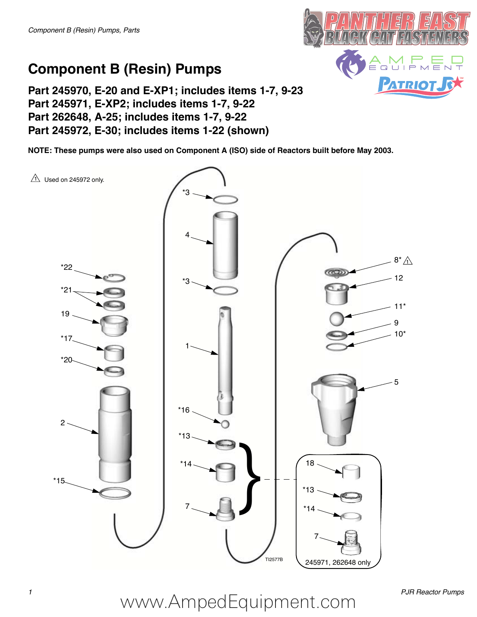

### **Component B (Resin) Pumps**

**Part 245970, E-20 and E-XP1; includes items 1-7, 9-23 Part 245971, E-XP2; includes items 1-7, 9-22 Part 262648, A-25; includes items 1-7, 9-22 Part 245972, E-30; includes items 1-22 (shown)**

**NOTE: These pumps were also used on Component A (ISO) side of Reactors built before May 2003.**



*1 PJR Reactor Pumps* www.AmpedEquipment.com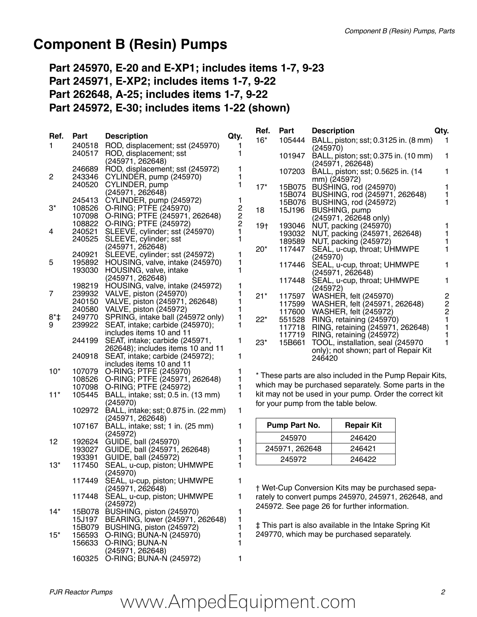### **Component B (Resin) Pumps**

**Part 245970, E-20 and E-XP1; includes items 1-7, 9-23 Part 245971, E-XP2; includes items 1-7, 9-22 Part 262648, A-25; includes items 1-7, 9-22 Part 245972, E-30; includes items 1-22 (shown)**

| Ref.           | Part             | <b>Description</b>                                                     | Qty.             | Ref.                                | Part           | <b>Description</b>                                                 | Qty.           |
|----------------|------------------|------------------------------------------------------------------------|------------------|-------------------------------------|----------------|--------------------------------------------------------------------|----------------|
| 1.             |                  | 240518 ROD, displacement; sst (245970)                                 |                  | $16*$                               | 105444         | BALL, piston; sst; 0.3125 in. (8 mm)<br>(245970)                   |                |
|                | 240517           | ROD, displacement; sst<br>(245971, 262648)                             | 1                |                                     |                | 101947 BALL, piston; sst; 0.375 in. (10 mm)<br>(245971, 262648)    | 1              |
| $\overline{c}$ | 246689<br>243346 | ROD, displacement; sst (245972)<br>CYLINDER, pump (245970)             | 1<br>1           |                                     |                | 107203 BALL, piston; sst; 0.5625 in. (14                           |                |
|                |                  | 240520 CYLINDER, pump                                                  | 1                | $17*$                               |                | mm) (245972)<br>15B075 BUSHING, rod (245970)                       |                |
|                |                  | (245971, 262648)                                                       |                  |                                     |                | 15B074 BUSHING, rod (245971, 262648)                               |                |
| $3^*$          | 245413           | CYLINDER, pump (245972)<br>108526 O-RING; PTFE (245970)                | 1                |                                     |                | 15B076 BUSHING, rod (245972)                                       | 1              |
|                |                  | 107098 O-RING; PTFE (245971, 262648)                                   | 2<br>2<br>2<br>1 | 18                                  |                | 15J196 BUSHING, pump<br>(245971, 262648 only)                      |                |
|                |                  | 108822 O-RING; PTFE (245972)                                           |                  | 19 <sub>†</sub>                     |                | 193046 NUT, packing (245970)                                       |                |
| 4              |                  | 240521 SLEEVE, cylinder; sst (245970)<br>240525 SLEEVE, cylinder; sst  | 1                |                                     |                | 193032 NUT, packing (245971, 262648)                               |                |
|                |                  | (245971, 262648)                                                       |                  | $20*$                               |                | 189589 NUT, packing (245972)<br>117447 SEAL, u-cup, throat; UHMWPE |                |
|                | 240921           | SLEEVE, cylinder; sst (245972)                                         |                  |                                     |                | (245970)                                                           |                |
| 5              | 193030           | 195892 HOUSING, valve, intake (245970)<br>HOUSING, valve, intake       | 1<br>1           |                                     |                | 117446 SEAL, u-cup, throat; UHMWPE                                 |                |
|                |                  | (245971, 262648)                                                       |                  |                                     | 117448         | (245971, 262648)<br>SEAL, u-cup, throat; UHMWPE                    | 1              |
|                |                  | 198219 HOUSING, valve, intake (245972)                                 | 1                |                                     |                | (245972)                                                           |                |
| 7              |                  | 239932 VALVE, piston (245970)                                          |                  | $21*$                               |                | 117597 WASHER, felt (245970)                                       | $\frac{2}{2}$  |
|                |                  | 240150 VALVE, piston (245971, 262648)<br>240580 VALVE, piston (245972) |                  |                                     |                | 117599 WASHER, felt (245971, 262648)                               |                |
| $8*$           |                  | 249770 SPRING, intake ball (245972 only)                               | 1                | $22*$                               |                | 117600 WASHER, felt (245972)<br>551528 RING, retaining (245970)    | $\overline{c}$ |
| 9              |                  | 239922 SEAT, intake; carbide (245970);                                 | 1                |                                     |                | 117718 RING, retaining (245971, 262648)                            |                |
|                |                  | includes items 10 and 11                                               |                  |                                     |                | 117719 RING, retaining (245972)                                    |                |
|                | 244199           | SEAT, intake; carbide (245971,<br>262648); includes items 10 and 11    | 1                | $23*$                               |                | 15B661 TOOL, installation, seal (245970                            | 1              |
|                |                  | 240918 SEAT, intake; carbide (245972);                                 | 1                |                                     |                | only); not shown; part of Repair Kit<br>246420                     |                |
|                |                  | includes items 10 and 11                                               |                  |                                     |                |                                                                    |                |
| $10^*$         |                  | 107079 O-RING; PTFE (245970)<br>108526 O-RING; PTFE (245971, 262648)   |                  |                                     |                | * These parts are also included in the Pump Repair Kits,           |                |
|                |                  | 107098 O-RING; PTFE (245972)                                           |                  |                                     |                | which may be purchased separately. Some parts in the               |                |
| $11*$          | 105445           | BALL, intake; sst; 0.5 in. (13 mm)                                     | 1                |                                     |                | kit may not be used in your pump. Order the correct kit            |                |
|                |                  | (245970)                                                               |                  | for your pump from the table below. |                |                                                                    |                |
|                | 102972           | BALL, intake; sst; 0.875 in. (22 mm)<br>(245971, 262648)               | 1                |                                     |                |                                                                    |                |
|                | 107167           | BALL, intake; sst; 1 in. (25 mm)                                       | 1.               |                                     | Pump Part No.  | <b>Repair Kit</b>                                                  |                |
| 12             |                  | (245972)<br>192624 GUIDE, ball (245970)                                |                  |                                     | 245970         | 246420                                                             |                |
|                |                  | 193027 GUIDE, ball (245971, 262648)                                    |                  |                                     | 245971, 262648 | 246421                                                             |                |
|                | 193391           | GUIDE, ball (245972)                                                   |                  |                                     | 245972         | 246422                                                             |                |
| $13*$          | 117450           | SEAL, u-cup, piston; UHMWPE<br>(245970)                                |                  |                                     |                |                                                                    |                |
|                | 117449           | SEAL, u-cup, piston; UHMWPE<br>(245971, 262648)                        | 1                |                                     |                | + Wet-Cup Conversion Kits may be purchased sepa-                   |                |
|                | 117448           | SEAL, u-cup, piston; UHMWPE                                            | 1                |                                     |                | rately to convert pumps 245970, 245971, 262648, and                |                |
|                |                  | (245972)                                                               |                  |                                     |                | 245972. See page 26 for further information.                       |                |
| $14*$          |                  | 15B078 BUSHING, piston (245970)                                        | 1                |                                     |                |                                                                    |                |
|                | 15J197           | BEARING, lower (245971, 262648)<br>15B079 BUSHING, piston (245972)     | 1                |                                     |                | ‡ This part is also available in the Intake Spring Kit             |                |
| $15*$          |                  | 156593 O-RING; BUNA-N (245970)                                         |                  |                                     |                | 249770, which may be purchased separately.                         |                |
|                |                  | 156633 O-RING; BUNA-N                                                  |                  |                                     |                |                                                                    |                |

(245971, 262648)

160325 O-RING; BUNA-N (245972) 1

# *PJR Reactor Pumps 2* www.AmpedEquipment.com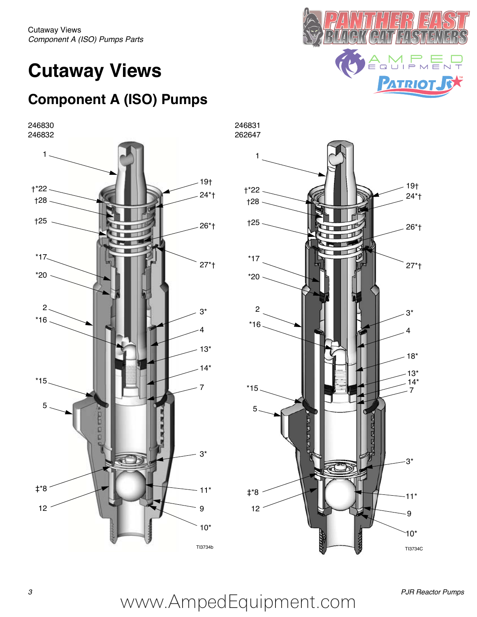Cutaway Views *Component A (ISO) Pumps Parts* 

### **Cutaway Views**

### **Component A (ISO) Pumps**

246830 246832





—̀ آ ٿا ها  $\dot{=}$ **PATRIOT JEX** 

## *3 PJR Reactor Pumps* www.AmpedEquipment.com

TI3734b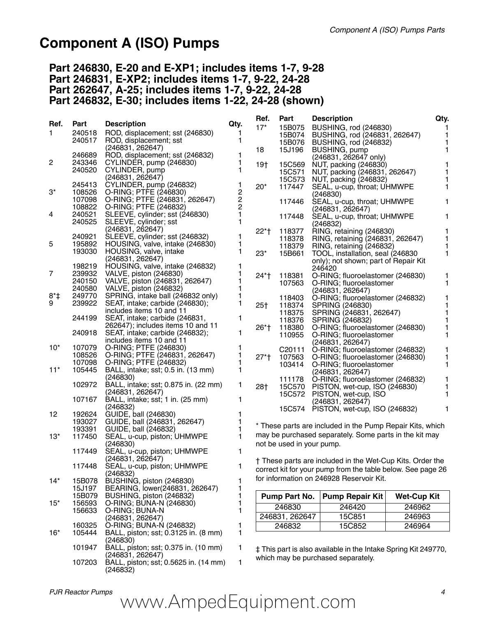### **Component A (ISO) Pumps**

#### **Part 246830, E-20 and E-XP1; includes items 1-7, 9-28 Part 246831, E-XP2; includes items 1-7, 9-22, 24-28 Part 262647, A-25; includes items 1-7, 9-22, 24-28 Part 246832, E-30; includes items 1-22, 24-28 (shown)**

|           |                  |                                                               |               | Ref.            | Part                      | <b>Description</b>                                             | Qty.               |
|-----------|------------------|---------------------------------------------------------------|---------------|-----------------|---------------------------|----------------------------------------------------------------|--------------------|
| Ref.      | Part             | <b>Description</b>                                            | Qty.          | $17*$           | 15B075                    | BUSHING, rod (246830)                                          |                    |
| 1.        | 240518<br>240517 | ROD, displacement; sst (246830)<br>ROD, displacement; sst     | 1<br>1        |                 | 15B074                    | BUSHING, rod (246831, 262647)                                  | $\mathbf{1}$       |
|           |                  | (246831, 262647)                                              |               |                 | 15B076                    | BUSHING, rod (246832)                                          | 1<br>$\mathbf{1}$  |
|           | 246689           | ROD, displacement; sst (246832)                               | 1             | 18              | 15J196                    | BUSHING, pump<br>(246831, 262647 only)                         |                    |
| 2         | 243346           | CYLINDER, pump (246830)                                       | 1             | 19†             | 15C569                    | NUT, packing (246830)                                          | 1                  |
|           | 240520           | CYLINDER, pump                                                | 1             |                 | 15C571                    | NUT, packing (246831, 262647)                                  | 1                  |
|           |                  | (246831, 262647)                                              |               |                 | 15C573                    | NUT, packing (246832)                                          |                    |
| 3*        | 245413           | CYLINDER, pump (246832)                                       | 1             | $20*$           | 117447                    | SEAL, u-cup, throat; UHMWPE                                    | 1                  |
|           | 108526<br>107098 | O-RING; PTFE (246830)<br>O-RING; PTFE (246831, 262647)        | 2             |                 |                           | (246830)                                                       |                    |
|           | 108822           | O-RING; PTFE (246832)                                         | $\frac{2}{2}$ |                 | 117446                    | SEAL, u-cup, throat; UHMWPE<br>(246831, 262647)                | 1                  |
| 4         | 240521           | SLEEVE, cylinder; sst (246830)                                | $\mathbf{1}$  |                 | 117448                    | SEAL, u-cup, throat; UHMWPE                                    | 1                  |
|           | 240525           | SLEEVE, cylinder; sst                                         | $\mathbf{1}$  |                 |                           | (246832)                                                       |                    |
|           |                  | (246831, 262647)                                              |               | $22*$ †         | 118377                    | RING, retaining (246830)                                       | 1                  |
|           | 240921           | SLEEVE, cylinder; sst (246832)                                | 1             |                 | 118378                    | RING, retaining (246831, 262647)                               | 1                  |
| 5         | 195892<br>193030 | HOUSING, valve, intake (246830)<br>HOUSING, valve, intake     | 1<br>1        |                 | 118379                    | RING, retaining (246832)                                       | 1                  |
|           |                  | (246831, 262647)                                              |               | $23*$           | 15B661                    | TOOL, installation, seal (246830)                              | 1                  |
|           | 198219           | HOUSING, valve, intake (246832)                               | 1             |                 |                           | only); not shown; part of Repair Kit<br>246420                 |                    |
| 7         | 239932           | VALVE, piston (246830)                                        | 1             | 24*†            | 118381                    | O-RING; fluoroelastomer (246830)                               | 1                  |
|           | 240150           | VALVE, piston (246831, 262647)                                | 1             |                 | 107563                    | O-RING; fluoroelastomer                                        | 1                  |
|           |                  | 240580 VALVE, piston (246832)                                 | 1             |                 |                           | (246831, 262647)                                               |                    |
| $8*$<br>9 | 249770           | SPRING, intake ball (246832 only)                             | 1             |                 | 118403                    | O-RING; fluoroelastomer (246832)                               | 1                  |
|           | 239922           | SEAT, intake; carbide (246830);<br>includes items 10 and 11   | 1             | 25 <sub>†</sub> | 118374                    | SPRING (246830)                                                | 1                  |
|           | 244199           | SEAT, intake; carbide (246831,                                | 1             |                 | 118375<br>118376          | SPRING (246831, 262647)                                        | $\mathbf{1}$<br>1  |
|           |                  | 262647); includes items 10 and 11                             |               | 26*†            | 118380                    | SPRING (246832)<br>O-RING; fluoroelastomer (246830)            | 1                  |
|           | 240918           | SEAT, intake; carbide (246832);                               | 1             |                 | 110955                    | O-RING; fluoroelastomer                                        | 1                  |
|           |                  | includes items 10 and 11                                      |               |                 |                           | (246831, 262647)                                               |                    |
| $10^*$    | 107079           | O-RING; PTFE (246830)                                         | 1             |                 | C20111                    | O-RING; fluoroelastomer (246832)                               | 1                  |
|           | 107098           | 108526 O-RING; PTFE (246831, 262647)<br>O-RING; PTFE (246832) | 1<br>1        | $27*$ †         | 107563                    | O-RING; fluoroelastomer (246830)                               | 1                  |
| $11*$     | 105445           | BALL, intake; sst; 0.5 in. (13 mm)                            | 1             |                 | 103414                    | O-RING; fluoroelastomer                                        | 1                  |
|           |                  | (246830)                                                      |               |                 | 111178                    | (246831, 262647)<br>O-RING; fluoroelastomer (246832)           | 1                  |
|           | 102972           | BALL, intake; sst; 0.875 in. (22 mm)                          | 1             | 28†             |                           | 15C570 PISTON, wet-cup, ISO (246830)                           | 1                  |
|           |                  | (246831, 262647)                                              |               |                 |                           | 15C572 PISTON, wet-cup, ISO                                    | 1                  |
|           | 107167           | BALL, intake; sst; 1 in. (25 mm)                              | $\mathbf{1}$  |                 |                           | (246831, 262647)                                               |                    |
| 12        | 192624           | (246832)<br>GUIDE, ball (246830)                              | 1             |                 |                           | 15C574 PISTON, wet-cup, ISO (246832)                           | 1                  |
|           | 193027           | GUIDE, ball (246831, 262647)                                  |               |                 |                           |                                                                |                    |
|           | 193391           | GUIDE, ball (246832)                                          | 1             |                 |                           | * These parts are included in the Pump Repair Kits, which      |                    |
| $13*$     | 117450           | SEAL, u-cup, piston; UHMWPE                                   | 1             |                 |                           | may be purchased separately. Some parts in the kit may         |                    |
|           |                  | (246830)                                                      |               |                 | not be used in your pump. |                                                                |                    |
|           | 117449           | SEAL, u-cup, piston; UHMWPE                                   | 1             |                 |                           |                                                                |                    |
|           | 117448           | (246831, 262647)<br>SEAL, u-cup, piston; UHMWPE               | 1             |                 |                           | † These parts are included in the Wet-Cup Kits. Order the      |                    |
|           |                  | (246832)                                                      |               |                 |                           | correct kit for your pump from the table below. See page 26    |                    |
| $14*$     | 15B078           | BUSHING, piston (246830)                                      | 1             |                 |                           | for information on 246928 Reservoir Kit.                       |                    |
|           | 15J197           | BEARING, lower(246831, 262647)                                | 1             |                 |                           |                                                                |                    |
|           | 15B079           | BUSHING, piston (246832)                                      | 1             |                 | Pump Part No.             | <b>Pump Repair Kit</b>                                         | <b>Wet-Cup Kit</b> |
| $15*$     | 156593           | O-RING; BUNA-N (246830)                                       | 1             |                 | 246830                    | 246420                                                         | 246962             |
|           | 156633           | O-RING; BUNA-N<br>(246831, 262647)                            | 1             |                 | 246831, 262647            | 15C851                                                         | 246963             |
|           | 160325           | O-RING; BUNA-N (246832)                                       | 1             |                 | 246832                    | 15C852                                                         | 246964             |
| $16*$     | 105444           | BALL, piston; sst; 0.3125 in. (8 mm)                          | 1             |                 |                           |                                                                |                    |
|           |                  | (246830)                                                      |               |                 |                           |                                                                |                    |
|           | 101947           | BALL, piston; sst; 0.375 in. (10 mm)                          | 1             |                 |                           | # This part is also available in the Intake Spring Kit 249770, |                    |
|           |                  | (246831, 262647)                                              |               |                 |                           | which may be purchased separately.                             |                    |
|           | 107203           | BALL, piston; sst; 0.5625 in. (14 mm)                         | 1             |                 |                           |                                                                |                    |

(246832)

## *PJR Reactor Pumps 4* www.AmpedEquipment.com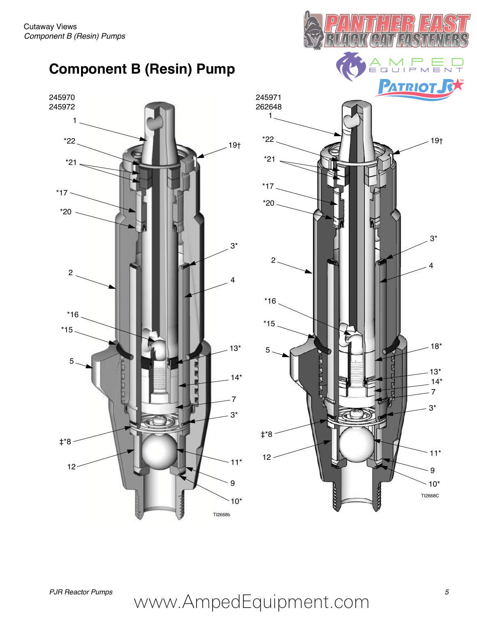



目

Ē

# *PJR Reactor Pumps 5* www.AmpedEquipment.com